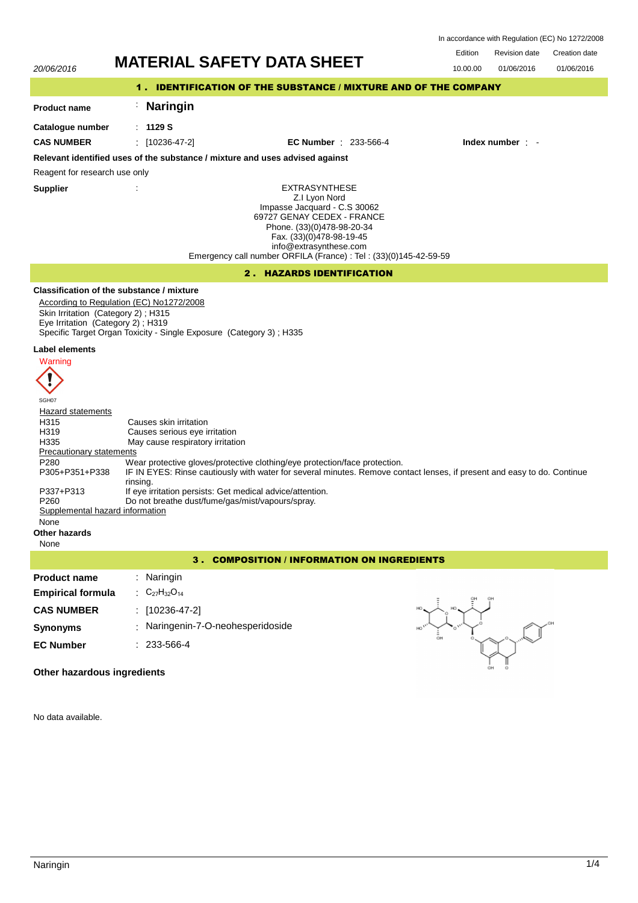In accordance with Regulation (EC) No 1272/2008 Edition Revision date Creation date Revision date 20/06/2016 **MATERIAL SAFETY DATA SHEET** 10.00.00 01/06/2016 01/06/2016 1 . IDENTIFICATION OF THE SUBSTANCE / MIXTURE AND OF THE COMPANY : **Naringin Product name Catalogue number** : **1129 S CAS NUMBER** : [10236-47-2] **EC Number** : 233-566-4 **Index number** : - **Relevant identified uses of the substance / mixture and uses advised against** Reagent for research use only **Supplier** : EXTRASYNTHESE Z.I Lyon Nord Impasse Jacquard - C.S 30062 69727 GENAY CEDEX - FRANCE Phone. (33)(0)478-98-20-34 Fax. (33)(0)478-98-19-45 info@extrasynthese.com Emergency call number ORFILA (France) : Tel : (33)(0)145-42-59-59 2 . HAZARDS IDENTIFICATION **Classification of the substance / mixture** According to Regulation (EC) No1272/2008 Skin Irritation (Category 2) ; H315 Eye Irritation (Category 2) ; H319 Specific Target Organ Toxicity - Single Exposure (Category 3) ; H335 **Label elements Warning** SGH07 **Hazard statements** H315 Causes skin irritation<br>
H319 Causes serious eve in H319 Causes serious eye irritation<br>H335 May cause respiratory irritation May cause respiratory irritation Precautionary statements P280 Wear protective gloves/protective clothing/eye protection/face protection. P305+P351+P338 IF IN EYES: Rinse cautiously with water for several minutes. Remove contact lenses, if present and easy to do. Continue rinsing. P337+P313 If eye irritation persists: Get medical advice/attention.<br>P260 Do not breathe dust/fume/gas/mist/yapours/spray Do not breathe dust/fume/gas/mist/vapours/spray. Supplemental hazard information None **Other hazards** None 3 . COMPOSITION / INFORMATION ON INGREDIENTS **Product name** : Naringin **Empirical formula** : C<sub>27</sub>H<sub>32</sub>O<sub>14</sub> iy<br>Yayi **CAS NUMBER** : [10236-47-2] **Synonyms** : Naringenin-7-O-neohesperidoside **EC Number** : 233-566-4 **Other hazardous ingredients**

No data available.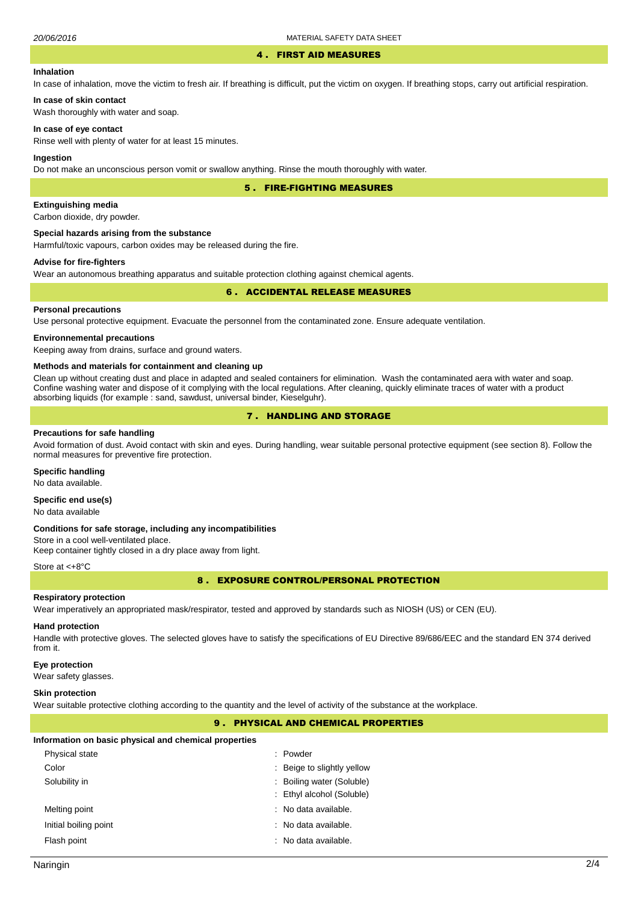#### 4 . FIRST AID MEASURES

# **Inhalation**

In case of inhalation, move the victim to fresh air. If breathing is difficult, put the victim on oxygen. If breathing stops, carry out artificial respiration.

**In case of skin contact** Wash thoroughly with water and soap.

## **In case of eye contact**

Rinse well with plenty of water for at least 15 minutes.

#### **Ingestion**

Do not make an unconscious person vomit or swallow anything. Rinse the mouth thoroughly with water.

5 . FIRE-FIGHTING MEASURES

# **Extinguishing media**

Carbon dioxide, dry powder.

#### **Special hazards arising from the substance**

Harmful/toxic vapours, carbon oxides may be released during the fire.

# **Advise for fire-fighters**

Wear an autonomous breathing apparatus and suitable protection clothing against chemical agents.

# 6 . ACCIDENTAL RELEASE MEASURES

# **Personal precautions**

Use personal protective equipment. Evacuate the personnel from the contaminated zone. Ensure adequate ventilation.

#### **Environnemental precautions**

Keeping away from drains, surface and ground waters.

#### **Methods and materials for containment and cleaning up**

Clean up without creating dust and place in adapted and sealed containers for elimination. Wash the contaminated aera with water and soap. Confine washing water and dispose of it complying with the local regulations. After cleaning, quickly eliminate traces of water with a product absorbing liquids (for example : sand, sawdust, universal binder, Kieselguhr).

# 7 . HANDLING AND STORAGE

#### **Precautions for safe handling**

Avoid formation of dust. Avoid contact with skin and eyes. During handling, wear suitable personal protective equipment (see section 8). Follow the normal measures for preventive fire protection.

# **Specific handling**

No data available.

# **Specific end use(s)**

No data available

#### **Conditions for safe storage, including any incompatibilities**

Store in a cool well-ventilated place. Keep container tightly closed in a dry place away from light.

#### Store at <+8°C

8 . EXPOSURE CONTROL/PERSONAL PROTECTION

#### **Respiratory protection**

Wear imperatively an appropriated mask/respirator, tested and approved by standards such as NIOSH (US) or CEN (EU).

# **Hand protection**

Handle with protective gloves. The selected gloves have to satisfy the specifications of EU Directive 89/686/EEC and the standard EN 374 derived from it.

#### **Eye protection**

Wear safety glasses.

#### **Skin protection**

Wear suitable protective clothing according to the quantity and the level of activity of the substance at the workplace.

# 9 . PHYSICAL AND CHEMICAL PROPERTIES

#### **Information on basic physical and chemical properties**

| Physical state        | : Powder                   |
|-----------------------|----------------------------|
| Color                 | : Beige to slightly yellow |
| Solubility in         | : Boiling water (Soluble)  |
|                       | : Ethyl alcohol (Soluble)  |
| Melting point         | : No data available.       |
| Initial boiling point | : No data available.       |
| Flash point           | : No data available.       |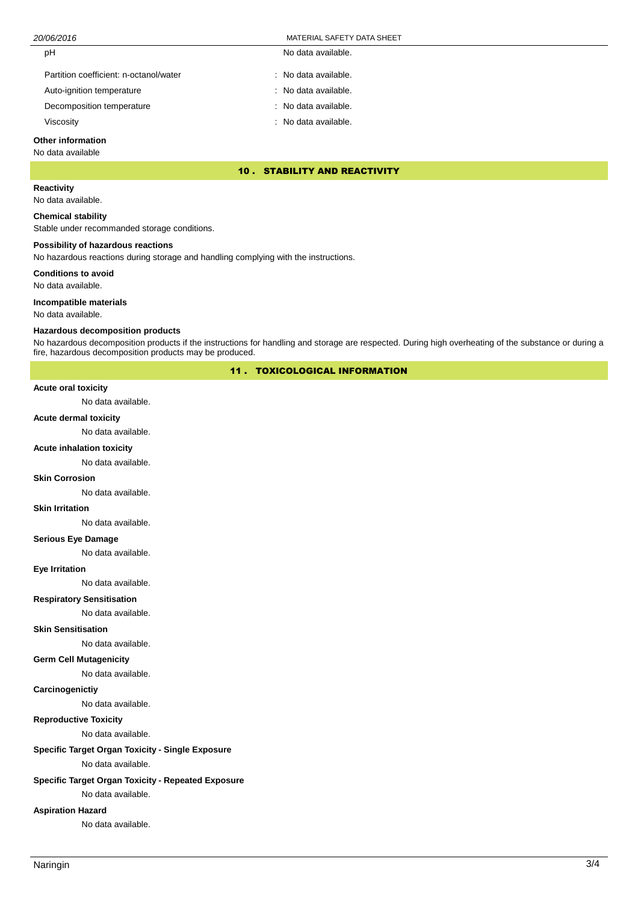pH No data available.

| Partition coefficient: n-octanol/water | : No data available. |
|----------------------------------------|----------------------|
| Auto-ignition temperature              | : No data available. |
| Decomposition temperature              | : No data available. |
| Viscosity                              | : No data available. |

#### **Other information**

#### No data available

# 10 . STABILITY AND REACTIVITY

**Reactivity**

# No data available.

# **Chemical stability**

Stable under recommanded storage conditions.

# **Possibility of hazardous reactions**

No hazardous reactions during storage and handling complying with the instructions.

#### **Conditions to avoid**

No data available.

# **Incompatible materials**

No data available.

#### **Hazardous decomposition products**

No hazardous decomposition products if the instructions for handling and storage are respected. During high overheating of the substance or during a fire, hazardous decomposition products may be produced.

# 11 . TOXICOLOGICAL INFORMATION

#### **Acute oral toxicity**

No data available.

#### **Acute dermal toxicity**

No data available.

# **Acute inhalation toxicity**

No data available.

#### **Skin Corrosion**

No data available.

#### **Skin Irritation**

No data available.

#### **Serious Eye Damage**

No data available.

# **Eye Irritation**

No data available.

#### **Respiratory Sensitisation**

No data available.

#### **Skin Sensitisation**

No data available.

#### **Germ Cell Mutagenicity**

No data available.

#### **Carcinogenictiy**

No data available.

# **Reproductive Toxicity**

No data available.

# **Specific Target Organ Toxicity - Single Exposure**

No data available.

# **Specific Target Organ Toxicity - Repeated Exposure**

No data available.

# **Aspiration Hazard**

No data available.